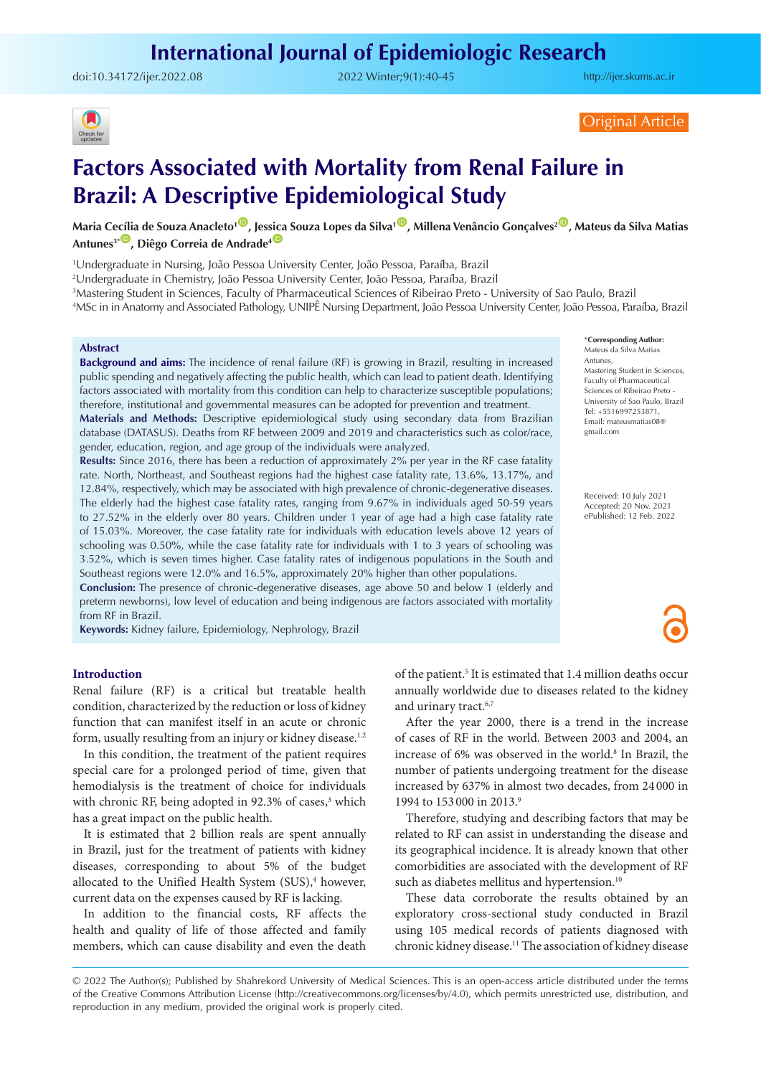# **International Journal of Epidemiologic Research**

doi:[10.34172/ijer.2022.08](https://doi.org/10.34172/ijer.2022.08) 2022 Winter;9(1):40-45

<http://ijer.skums.ac.ir>



Original Article

# **Factors Associated with Mortality from Renal Failure in Brazil: A Descriptive Epidemiological Study**

Maria Cecília de Souza Anacleto<sup>1 (D</sup>, Jessica Souza Lopes da Silva<sup>1 (D</sup>, Millena Venâncio Gonçalves<sup>2 (D</sup>, Mateus da Silva Matias Antunes<sup>3\*</sup>, Diêgo Correia de Andrade<sup>4</sub></sup>

1 Undergraduate in Nursing, João Pessoa University Center, João Pessoa, Paraíba, Brazil

2 Undergraduate in Chemistry, João Pessoa University Center, João Pessoa, Paraíba, Brazil

3 Mastering Student in Sciences, Faculty of Pharmaceutical Sciences of Ribeirao Preto - University of Sao Paulo, Brazil 4 MSc in in Anatomy and Associated Pathology, UNIPÊ Nursing Department, João Pessoa University Center, João Pessoa, Paraíba, Brazil

#### **Abstract**

**Background and aims:** The incidence of renal failure (RF) is growing in Brazil, resulting in increased public spending and negatively affecting the public health, which can lead to patient death. Identifying factors associated with mortality from this condition can help to characterize susceptible populations; therefore, institutional and governmental measures can be adopted for prevention and treatment.

**Materials and Methods:** Descriptive epidemiological study using secondary data from Brazilian database (DATASUS). Deaths from RF between 2009 and 2019 and characteristics such as color/race, gender, education, region, and age group of the individuals were analyzed.

**Results:** Since 2016, there has been a reduction of approximately 2% per year in the RF case fatality rate. North, Northeast, and Southeast regions had the highest case fatality rate, 13.6%, 13.17%, and 12.84%, respectively, which may be associated with high prevalence of chronic-degenerative diseases. The elderly had the highest case fatality rates, ranging from 9.67% in individuals aged 50-59 years to 27.52% in the elderly over 80 years. Children under 1 year of age had a high case fatality rate of 15.03%. Moreover, the case fatality rate for individuals with education levels above 12 years of schooling was 0.50%, while the case fatality rate for individuals with 1 to 3 years of schooling was 3.52%, which is seven times higher. Case fatality rates of indigenous populations in the South and Southeast regions were 12.0% and 16.5%, approximately 20% higher than other populations.

**Conclusion:** The presence of chronic-degenerative diseases, age above 50 and below 1 (elderly and preterm newborns), low level of education and being indigenous are factors associated with mortality from RF in Brazil.

**Keywords:** Kidney failure, Epidemiology, Nephrology, Brazil

\***Corresponding Author:**

Mateus da Silva Matias Antunes, Mastering Student in Sciences, Faculty of Pharmaceutical Sciences of Ribeirao Preto University of Sao Paulo, Brazil Tel: +5516997253871, Email: mateusmatias08@ gmail.com

Received: 10 July 2021 Accepted: 20 Nov. 2021 ePublished: 12 Feb. 2022

# **Introduction**

Renal failure (RF) is a critical but treatable health condition, characterized by the reduction or loss of kidney function that can manifest itself in an acute or chronic form, usually resulting from an injury or kidney disease.<sup>1,2</sup>

In this condition, the treatment of the patient requires special care for a prolonged period of time, given that hemodialysis is the treatment of choice for individuals with chronic RF, being adopted in 92.3% of cases,<sup>3</sup> which has a great impact on the public health.

It is estimated that 2 billion reals are spent annually in Brazil, just for the treatment of patients with kidney diseases, corresponding to about 5% of the budget allocated to the Unified Health System (SUS),<sup>4</sup> however, current data on the expenses caused by RF is lacking.

In addition to the financial costs, RF affects the health and quality of life of those affected and family members, which can cause disability and even the death

of the patient.<sup>5</sup> It is estimated that 1.4 million deaths occur annually worldwide due to diseases related to the kidney and urinary tract.<sup>6,7</sup>

After the year 2000, there is a trend in the increase of cases of RF in the world. Between 2003 and 2004, an increase of 6% was observed in the world.<sup>8</sup> In Brazil, the number of patients undergoing treatment for the disease increased by 637% in almost two decades, from 24 000 in 1994 to 153 000 in 2013.<sup>9</sup>

Therefore, studying and describing factors that may be related to RF can assist in understanding the disease and its geographical incidence. It is already known that other comorbidities are associated with the development of RF such as diabetes mellitus and hypertension.<sup>10</sup>

These data corroborate the results obtained by an exploratory cross-sectional study conducted in Brazil using 105 medical records of patients diagnosed with chronic kidney disease.11 The association of kidney disease

<sup>© 2022</sup> The Author(s); Published by Shahrekord University of Medical Sciences. This is an open-access article distributed under the terms of the Creative Commons Attribution License (http://creativecommons.org/licenses/by/4.0), which permits unrestricted use, distribution, and reproduction in any medium, provided the original work is properly cited.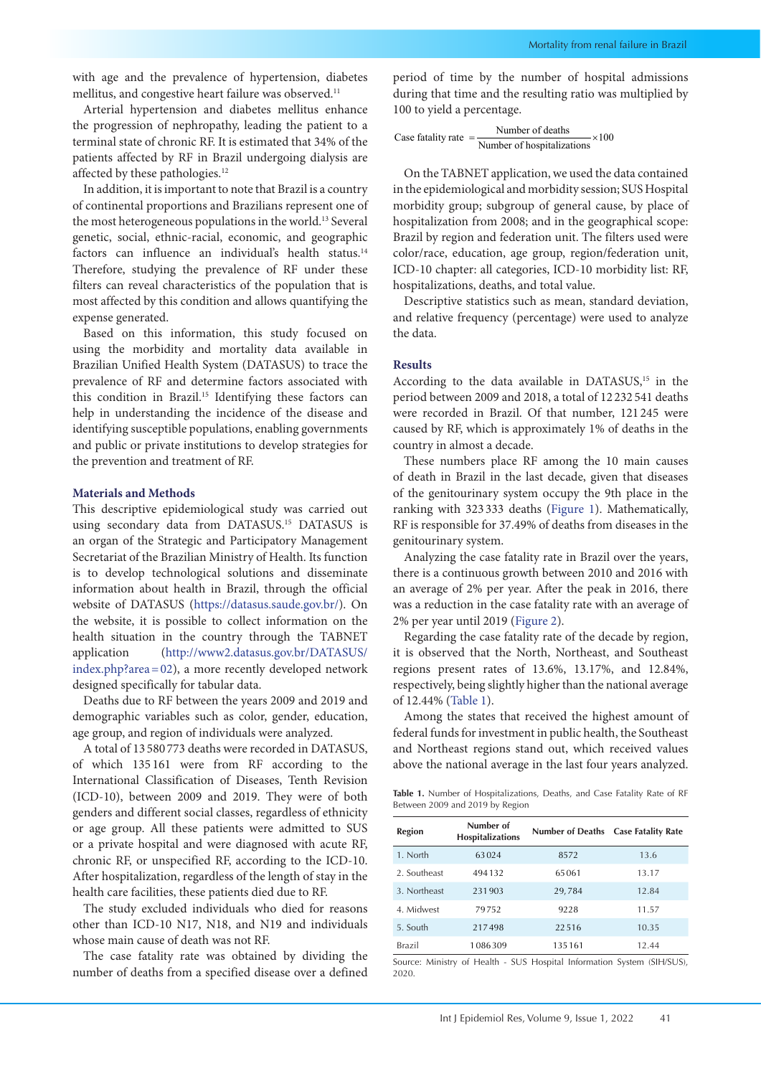with age and the prevalence of hypertension, diabetes mellitus, and congestive heart failure was observed.<sup>11</sup>

Arterial hypertension and diabetes mellitus enhance the progression of nephropathy, leading the patient to a terminal state of chronic RF. It is estimated that 34% of the patients affected by RF in Brazil undergoing dialysis are affected by these pathologies.<sup>12</sup>

In addition, it is important to note that Brazil is a country of continental proportions and Brazilians represent one of the most heterogeneous populations in the world.<sup>13</sup> Several genetic, social, ethnic-racial, economic, and geographic factors can influence an individual's health status.<sup>14</sup> Therefore, studying the prevalence of RF under these filters can reveal characteristics of the population that is most affected by this condition and allows quantifying the expense generated.

Based on this information, this study focused on using the morbidity and mortality data available in Brazilian Unified Health System (DATASUS) to trace the prevalence of RF and determine factors associated with this condition in Brazil.<sup>15</sup> Identifying these factors can help in understanding the incidence of the disease and identifying susceptible populations, enabling governments and public or private institutions to develop strategies for the prevention and treatment of RF.

#### **Materials and Methods**

This descriptive epidemiological study was carried out using secondary data from DATASUS.15 DATASUS is an organ of the Strategic and Participatory Management Secretariat of the Brazilian Ministry of Health. Its function is to develop technological solutions and disseminate information about health in Brazil, through the official website of DATASUS (<https://datasus.saude.gov.br/>). On the website, it is possible to collect information on the health situation in the country through the TABNET application ([http://www2.datasus.gov.br/DATASUS/](http://www2.datasus.gov.br/DATASUS/index.php?area=02) [index.php?area=02](http://www2.datasus.gov.br/DATASUS/index.php?area=02)), a more recently developed network designed specifically for tabular data.

Deaths due to RF between the years 2009 and 2019 and demographic variables such as color, gender, education, age group, and region of individuals were analyzed.

A total of 13 580 773 deaths were recorded in DATASUS, of which 135 161 were from RF according to the International Classification of Diseases, Tenth Revision (ICD-10), between 2009 and 2019. They were of both genders and different social classes, regardless of ethnicity or age group. All these patients were admitted to SUS or a private hospital and were diagnosed with acute RF, chronic RF, or unspecified RF, according to the ICD-10. After hospitalization, regardless of the length of stay in the health care facilities, these patients died due to RF.

The study excluded individuals who died for reasons other than ICD-10 N17, N18, and N19 and individuals whose main cause of death was not RF.

The case fatality rate was obtained by dividing the number of deaths from a specified disease over a defined period of time by the number of hospital admissions during that time and the resulting ratio was multiplied by 100 to yield a percentage.

Case **fatality rate** = 
$$
\frac{\text{Number of deaths}}{\text{Number of hospitalizations}} \times 100
$$

On the TABNET application, we used the data contained in the epidemiological and morbidity session; SUS Hospital morbidity group; subgroup of general cause, by place of hospitalization from 2008; and in the geographical scope: Brazil by region and federation unit. The filters used were color/race, education, age group, region/federation unit, ICD-10 chapter: all categories, ICD-10 morbidity list: RF, hospitalizations, deaths, and total value.

Descriptive statistics such as mean, standard deviation, and relative frequency (percentage) were used to analyze the data.

#### **Results**

According to the data available in DATASUS,<sup>15</sup> in the period between 2009 and 2018, a total of 12 232 541 deaths were recorded in Brazil. Of that number, 121 245 were caused by RF, which is approximately 1% of deaths in the country in almost a decade.

These numbers place RF among the 10 main causes of death in Brazil in the last decade, given that diseases of the genitourinary system occupy the 9th place in the ranking with 323 333 deaths [\(Figure 1](#page-2-0)). Mathematically, RF is responsible for 37.49% of deaths from diseases in the genitourinary system.

Analyzing the case fatality rate in Brazil over the years, there is a continuous growth between 2010 and 2016 with an average of 2% per year. After the peak in 2016, there was a reduction in the case fatality rate with an average of 2% per year until 2019 ([Figure 2\)](#page-2-1).

Regarding the case fatality rate of the decade by region, it is observed that the North, Northeast, and Southeast regions present rates of 13.6%, 13.17%, and 12.84%, respectively, being slightly higher than the national average of 12.44% ([Table 1\)](#page-1-0).

Among the states that received the highest amount of federal funds for investment in public health, the Southeast and Northeast regions stand out, which received values above the national average in the last four years analyzed.

<span id="page-1-0"></span>**Table 1.** Number of Hospitalizations, Deaths, and Case Fatality Rate of RF Between 2009 and 2019 by Region

| <b>Region</b> | Number of<br><b>Hospitalizations</b> | Number of Deaths Case Fatality Rate |       |
|---------------|--------------------------------------|-------------------------------------|-------|
| 1. North      | 63024                                | 8572                                | 13.6  |
| 2. Southeast  | 494132                               | 65061                               | 13.17 |
| 3. Northeast  | 231903                               | 29,784                              | 12.84 |
| 4. Midwest    | 79752                                | 9228                                | 11.57 |
| 5. South      | 217498                               | 22.516                              | 10.35 |
| <b>Brazil</b> | 1086309                              | 135161                              | 12.44 |

Source: Ministry of Health - SUS Hospital Information System (SIH/SUS), 2020.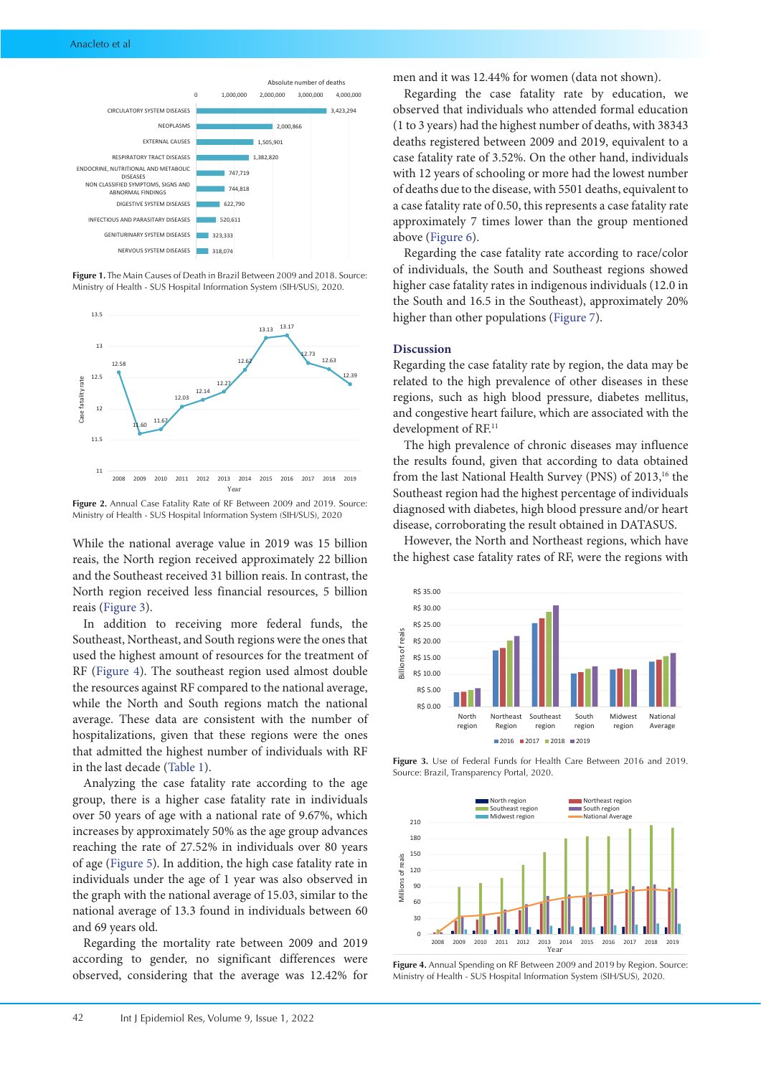<span id="page-2-0"></span>

**Figure 1.** The Main Causes of Death in Brazil Between 2009 and 2018. Source: Ministry of Health - SUS Hospital Information System (SIH/SUS), 2020.

<span id="page-2-1"></span>

**Figure 2.** Annual Case Fatality Rate of RF Between 2009 and 2019. Source: Ministry of Health - SUS Hospital Information System (SIH/SUS), 2020

While the national average value in 2019 was 15 billion reais, the North region received approximately 22 billion and the Southeast received 31 billion reais. In contrast, the North region received less financial resources, 5 billion reais ([Figure 3\)](#page-2-2).

In addition to receiving more federal funds, the Southeast, Northeast, and South regions were the ones that used the highest amount of resources for the treatment of RF [\(Figure 4](#page-2-3)). The southeast region used almost double the resources against RF compared to the national average, while the North and South regions match the national average. These data are consistent with the number of hospitalizations, given that these regions were the ones that admitted the highest number of individuals with RF in the last decade [\(Table 1\)](#page-1-0).

Analyzing the case fatality rate according to the age group, there is a higher case fatality rate in individuals over 50 years of age with a national rate of 9.67%, which increases by approximately 50% as the age group advances reaching the rate of 27.52% in individuals over 80 years of age [\(Figure 5](#page-3-0)). In addition, the high case fatality rate in individuals under the age of 1 year was also observed in the graph with the national average of 15.03, similar to the national average of 13.3 found in individuals between 60 and 69 years old.

Regarding the mortality rate between 2009 and 2019 according to gender, no significant differences were observed, considering that the average was 12.42% for men and it was 12.44% for women (data not shown).

Regarding the case fatality rate by education, we observed that individuals who attended formal education (1 to 3 years) had the highest number of deaths, with 38343 deaths registered between 2009 and 2019, equivalent to a case fatality rate of 3.52%. On the other hand, individuals with 12 years of schooling or more had the lowest number of deaths due to the disease, with 5501 deaths, equivalent to a case fatality rate of 0.50, this represents a case fatality rate approximately 7 times lower than the group mentioned above ([Figure 6](#page-3-1)).

Regarding the case fatality rate according to race/color of individuals, the South and Southeast regions showed higher case fatality rates in indigenous individuals (12.0 in the South and 16.5 in the Southeast), approximately 20% higher than other populations [\(Figure 7\)](#page-3-2).

#### **Discussion**

Regarding the case fatality rate by region, the data may be related to the high prevalence of other diseases in these regions, such as high blood pressure, diabetes mellitus, and congestive heart failure, which are associated with the development of RF.<sup>11</sup>

The high prevalence of chronic diseases may influence the results found, given that according to data obtained from the last National Health Survey (PNS) of 2013,<sup>16</sup> the Southeast region had the highest percentage of individuals diagnosed with diabetes, high blood pressure and/or heart disease, corroborating the result obtained in DATASUS.

However, the North and Northeast regions, which have the highest case fatality rates of RF, were the regions with

<span id="page-2-2"></span>

<span id="page-2-3"></span>**Figure 3.** Use of Federal Funds for Health Care Between 2016 and 2019. Source: Brazil, Transparency Portal, 2020.



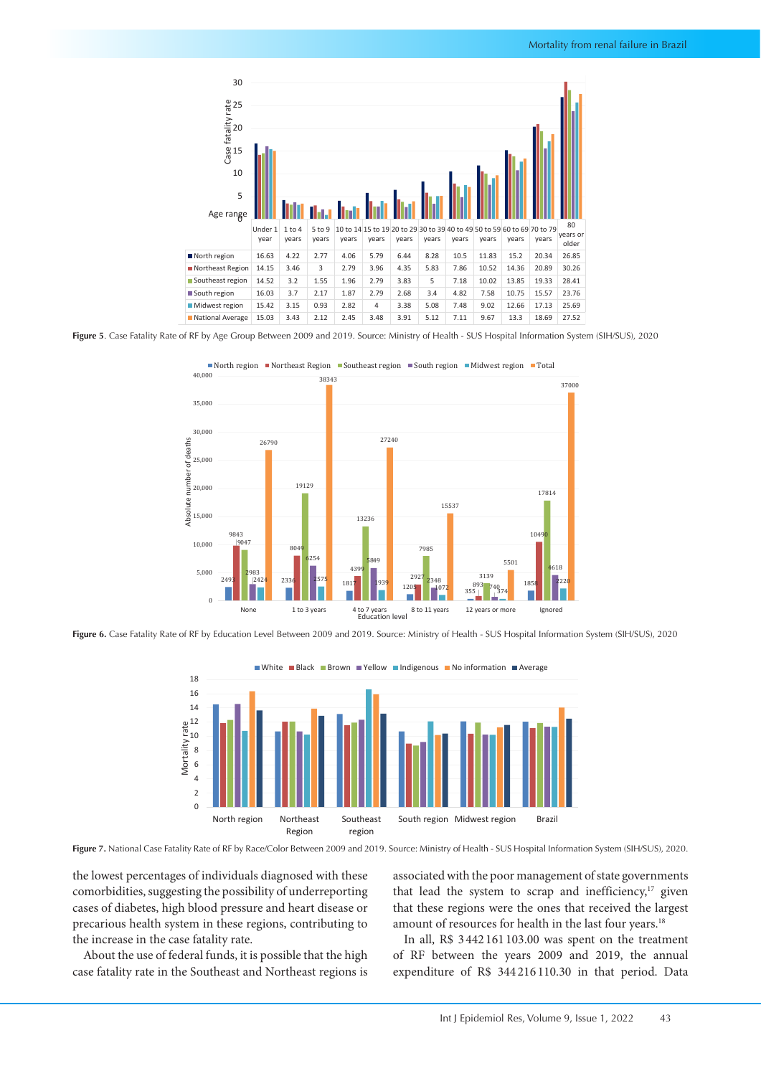<span id="page-3-0"></span>

**Figure 5**. Case Fatality Rate of RF by Age Group Between 2009 and 2019. Source: Ministry of Health - SUS Hospital Information System (SIH/SUS), 2020

<span id="page-3-1"></span>

**Figure 6.** Case Fatality Rate of RF by Education Level Between 2009 and 2019. Source: Ministry of Health - SUS Hospital Information System (SIH/SUS), 2020

<span id="page-3-2"></span>

**Figure 7.** National Case Fatality Rate of RF by Race/Color Between 2009 and 2019. Source: Ministry of Health - SUS Hospital Information System (SIH/SUS), 2020.

the lowest percentages of individuals diagnosed with these comorbidities, suggesting the possibility of underreporting cases of diabetes, high blood pressure and heart disease or precarious health system in these regions, contributing to the increase in the case fatality rate.

About the use of federal funds, it is possible that the high case fatality rate in the Southeast and Northeast regions is

associated with the poor management of state governments that lead the system to scrap and inefficiency, $17$  given that these regions were the ones that received the largest amount of resources for health in the last four years.<sup>18</sup>

In all, R\$ 3 442 161 103.00 was spent on the treatment of RF between the years 2009 and 2019, the annual expenditure of R\$ 344 216 110.30 in that period. Data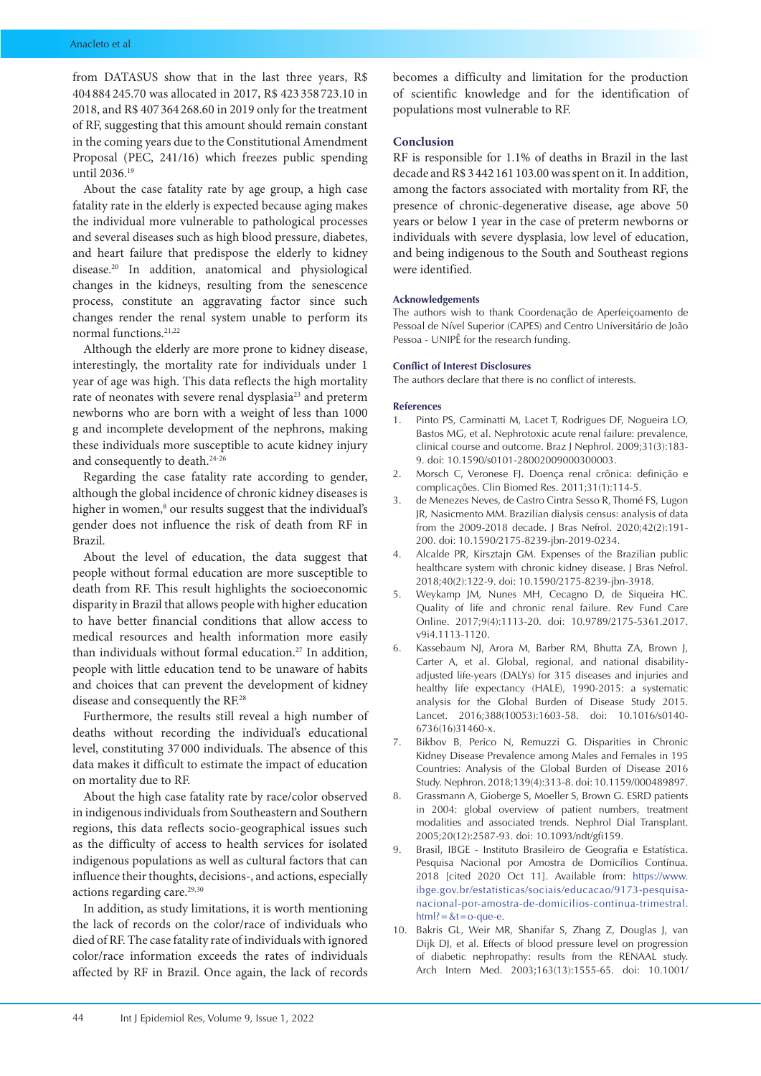from DATASUS show that in the last three years, R\$ 404 884 245.70 was allocated in 2017, R\$ 423 358 723.10 in 2018, and R\$ 407 364 268.60 in 2019 only for the treatment of RF, suggesting that this amount should remain constant in the coming years due to the Constitutional Amendment Proposal (PEC, 241/16) which freezes public spending until 2036.19

About the case fatality rate by age group, a high case fatality rate in the elderly is expected because aging makes the individual more vulnerable to pathological processes and several diseases such as high blood pressure, diabetes, and heart failure that predispose the elderly to kidney disease.20 In addition, anatomical and physiological changes in the kidneys, resulting from the senescence process, constitute an aggravating factor since such changes render the renal system unable to perform its normal functions.21,22

Although the elderly are more prone to kidney disease, interestingly, the mortality rate for individuals under 1 year of age was high. This data reflects the high mortality rate of neonates with severe renal dysplasia<sup>23</sup> and preterm newborns who are born with a weight of less than 1000 g and incomplete development of the nephrons, making these individuals more susceptible to acute kidney injury and consequently to death.<sup>24-26</sup>

Regarding the case fatality rate according to gender, although the global incidence of chronic kidney diseases is higher in women,<sup>8</sup> our results suggest that the individual's gender does not influence the risk of death from RF in Brazil.

About the level of education, the data suggest that people without formal education are more susceptible to death from RF. This result highlights the socioeconomic disparity in Brazil that allows people with higher education to have better financial conditions that allow access to medical resources and health information more easily than individuals without formal education.<sup>27</sup> In addition, people with little education tend to be unaware of habits and choices that can prevent the development of kidney disease and consequently the RF.28

Furthermore, the results still reveal a high number of deaths without recording the individual's educational level, constituting 37 000 individuals. The absence of this data makes it difficult to estimate the impact of education on mortality due to RF.

About the high case fatality rate by race/color observed in indigenous individuals from Southeastern and Southern regions, this data reflects socio-geographical issues such as the difficulty of access to health services for isolated indigenous populations as well as cultural factors that can influence their thoughts, decisions-, and actions, especially actions regarding care.<sup>29,30</sup>

In addition, as study limitations, it is worth mentioning the lack of records on the color/race of individuals who died of RF. The case fatality rate of individuals with ignored color/race information exceeds the rates of individuals affected by RF in Brazil. Once again, the lack of records

becomes a difficulty and limitation for the production of scientific knowledge and for the identification of populations most vulnerable to RF.

## **Conclusion**

RF is responsible for 1.1% of deaths in Brazil in the last decade and R\$ 3 442 161 103.00 was spent on it. In addition, among the factors associated with mortality from RF, the presence of chronic-degenerative disease, age above 50 years or below 1 year in the case of preterm newborns or individuals with severe dysplasia, low level of education, and being indigenous to the South and Southeast regions were identified.

## **Acknowledgements**

The authors wish to thank Coordenação de Aperfeiçoamento de Pessoal de Nível Superior (CAPES) and Centro Universitário de João Pessoa - UNIPÊ for the research funding.

#### **Conflict of Interest Disclosures**

The authors declare that there is no conflict of interests.

#### **References**

- 1. Pinto PS, Carminatti M, Lacet T, Rodrigues DF, Nogueira LO, Bastos MG, et al. Nephrotoxic acute renal failure: prevalence, clinical course and outcome. Braz J Nephrol. 2009;31(3):183- 9. doi: 10.1590/s0101-28002009000300003.
- 2. Morsch C, Veronese FJ. Doença renal crônica: definição e complicações. Clin Biomed Res. 2011;31(1):114-5.
- 3. de Menezes Neves, de Castro Cintra Sesso R, Thomé FS, Lugon JR, Nasicmento MM. Brazilian dialysis census: analysis of data from the 2009-2018 decade. J Bras Nefrol. 2020;42(2):191- 200. doi: 10.1590/2175-8239-jbn-2019-0234.
- 4. Alcalde PR, Kirsztajn GM. Expenses of the Brazilian public healthcare system with chronic kidney disease. J Bras Nefrol. 2018;40(2):122-9. doi: 10.1590/2175-8239-jbn-3918.
- 5. Weykamp JM, Nunes MH, Cecagno D, de Siqueira HC. Quality of life and chronic renal failure. Rev Fund Care Online. 2017;9(4):1113-20. doi: 10.9789/2175-5361.2017. v9i4.1113-1120.
- Kassebaum NJ, Arora M, Barber RM, Bhutta ZA, Brown J, Carter A, et al. Global, regional, and national disabilityadjusted life-years (DALYs) for 315 diseases and injuries and healthy life expectancy (HALE), 1990-2015: a systematic analysis for the Global Burden of Disease Study 2015. Lancet. 2016;388(10053):1603-58. doi: 10.1016/s0140- 6736(16)31460-x.
- Bikbov B, Perico N, Remuzzi G. Disparities in Chronic Kidney Disease Prevalence among Males and Females in 195 Countries: Analysis of the Global Burden of Disease 2016 Study. Nephron. 2018;139(4):313-8. doi: 10.1159/000489897.
- 8. Grassmann A, Gioberge S, Moeller S, Brown G. ESRD patients in 2004: global overview of patient numbers, treatment modalities and associated trends. Nephrol Dial Transplant. 2005;20(12):2587-93. doi: 10.1093/ndt/gfi159.
- 9. Brasil, IBGE Instituto Brasileiro de Geografia e Estatística. Pesquisa Nacional por Amostra de Domicílios Contínua. 2018 [cited 2020 Oct 11]. Available from: [https://www.](https://www.ibge.gov.br/estatisticas/sociais/educacao/9173-pesquisa-nacional-por-amostra-de-domicilios-continua-trimestral.html?=&t=o-que-e) [ibge.gov.br/estatisticas/sociais/educacao/9173-pesquisa](https://www.ibge.gov.br/estatisticas/sociais/educacao/9173-pesquisa-nacional-por-amostra-de-domicilios-continua-trimestral.html?=&t=o-que-e)[nacional-por-amostra-de-domicilios-continua-trimestral.](https://www.ibge.gov.br/estatisticas/sociais/educacao/9173-pesquisa-nacional-por-amostra-de-domicilios-continua-trimestral.html?=&t=o-que-e) html? =  $< t$  = o-que-e.
- 10. Bakris GL, Weir MR, Shanifar S, Zhang Z, Douglas J, van Dijk DJ, et al. Effects of blood pressure level on progression of diabetic nephropathy: results from the RENAAL study. Arch Intern Med. 2003;163(13):1555-65. doi: 10.1001/